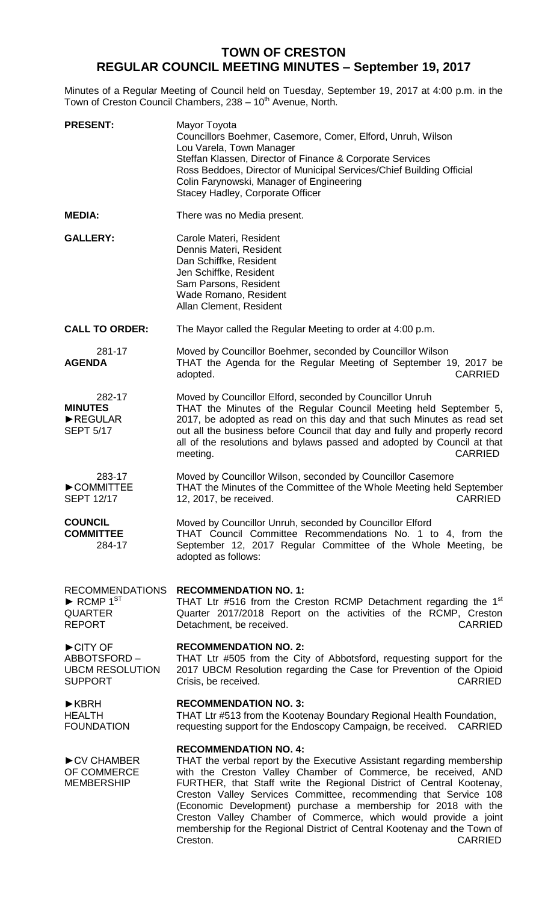## **TOWN OF CRESTON REGULAR COUNCIL MEETING MINUTES – September 19, 2017**

Minutes of a Regular Meeting of Council held on Tuesday, September 19, 2017 at 4:00 p.m. in the Town of Creston Council Chambers, 238 - 10<sup>th</sup> Avenue, North.

| <b>PRESENT:</b>                                                                                         | Mayor Toyota<br>Councillors Boehmer, Casemore, Comer, Elford, Unruh, Wilson<br>Lou Varela, Town Manager<br>Steffan Klassen, Director of Finance & Corporate Services<br>Ross Beddoes, Director of Municipal Services/Chief Building Official<br>Colin Farynowski, Manager of Engineering<br>Stacey Hadley, Corporate Officer                                                                                                                                                                                                                                       |
|---------------------------------------------------------------------------------------------------------|--------------------------------------------------------------------------------------------------------------------------------------------------------------------------------------------------------------------------------------------------------------------------------------------------------------------------------------------------------------------------------------------------------------------------------------------------------------------------------------------------------------------------------------------------------------------|
| <b>MEDIA:</b>                                                                                           | There was no Media present.                                                                                                                                                                                                                                                                                                                                                                                                                                                                                                                                        |
| <b>GALLERY:</b>                                                                                         | Carole Materi, Resident<br>Dennis Materi, Resident<br>Dan Schiffke, Resident<br>Jen Schiffke, Resident<br>Sam Parsons, Resident<br>Wade Romano, Resident<br>Allan Clement, Resident                                                                                                                                                                                                                                                                                                                                                                                |
| <b>CALL TO ORDER:</b>                                                                                   | The Mayor called the Regular Meeting to order at 4:00 p.m.                                                                                                                                                                                                                                                                                                                                                                                                                                                                                                         |
| 281-17<br><b>AGENDA</b>                                                                                 | Moved by Councillor Boehmer, seconded by Councillor Wilson<br>THAT the Agenda for the Regular Meeting of September 19, 2017 be<br>adopted.<br><b>CARRIED</b>                                                                                                                                                                                                                                                                                                                                                                                                       |
| 282-17<br><b>MINUTES</b><br>REGULAR<br><b>SEPT 5/17</b>                                                 | Moved by Councillor Elford, seconded by Councillor Unruh<br>THAT the Minutes of the Regular Council Meeting held September 5,<br>2017, be adopted as read on this day and that such Minutes as read set<br>out all the business before Council that day and fully and properly record<br>all of the resolutions and bylaws passed and adopted by Council at that<br><b>CARRIED</b><br>meeting.                                                                                                                                                                     |
| 283-17<br>COMMITTEE<br><b>SEPT 12/17</b>                                                                | Moved by Councillor Wilson, seconded by Councillor Casemore<br>THAT the Minutes of the Committee of the Whole Meeting held September<br>12, 2017, be received.<br><b>CARRIED</b>                                                                                                                                                                                                                                                                                                                                                                                   |
| <b>COUNCIL</b><br><b>COMMITTEE</b><br>284-17                                                            | Moved by Councillor Unruh, seconded by Councillor Elford<br>THAT Council Committee Recommendations No. 1 to 4, from the<br>September 12, 2017 Regular Committee of the Whole Meeting, be<br>adopted as follows:                                                                                                                                                                                                                                                                                                                                                    |
| <b>RECOMMENDATIONS</b><br>$\blacktriangleright$ RCMP 1 <sup>ST</sup><br><b>QUARTER</b><br><b>REPORT</b> | <b>RECOMMENDATION NO. 1:</b><br>THAT Ltr #516 from the Creston RCMP Detachment regarding the 1 <sup>st</sup><br>Quarter 2017/2018 Report on the activities of the RCMP, Creston<br><b>CARRIED</b><br>Detachment, be received.                                                                                                                                                                                                                                                                                                                                      |
| CITY OF<br>ABBOTSFORD-<br><b>UBCM RESOLUTION</b><br><b>SUPPORT</b>                                      | <b>RECOMMENDATION NO. 2:</b><br>THAT Ltr #505 from the City of Abbotsford, requesting support for the<br>2017 UBCM Resolution regarding the Case for Prevention of the Opioid<br><b>CARRIED</b><br>Crisis, be received.                                                                                                                                                                                                                                                                                                                                            |
| $\blacktriangleright$ KBRH<br><b>HEALTH</b><br><b>FOUNDATION</b>                                        | <b>RECOMMENDATION NO. 3:</b><br>THAT Ltr #513 from the Kootenay Boundary Regional Health Foundation,<br>requesting support for the Endoscopy Campaign, be received. CARRIED                                                                                                                                                                                                                                                                                                                                                                                        |
| CV CHAMBER<br>OF COMMERCE<br><b>MEMBERSHIP</b>                                                          | <b>RECOMMENDATION NO. 4:</b><br>THAT the verbal report by the Executive Assistant regarding membership<br>with the Creston Valley Chamber of Commerce, be received, AND<br>FURTHER, that Staff write the Regional District of Central Kootenay,<br>Creston Valley Services Committee, recommending that Service 108<br>(Economic Development) purchase a membership for 2018 with the<br>Creston Valley Chamber of Commerce, which would provide a joint<br>membership for the Regional District of Central Kootenay and the Town of<br><b>CARRIED</b><br>Creston. |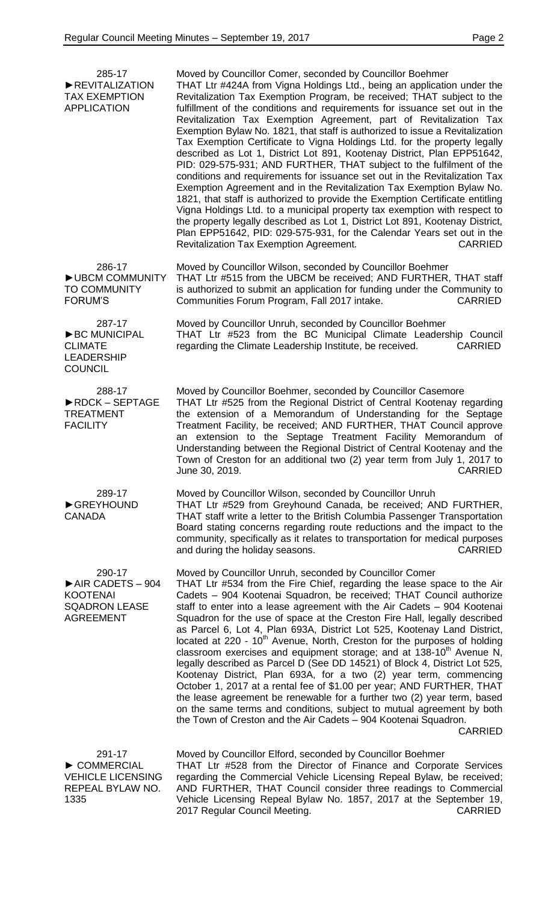| 285-17<br>REVITALIZATION<br><b>TAX EXEMPTION</b><br><b>APPLICATION</b>                    | Moved by Councillor Comer, seconded by Councillor Boehmer<br>THAT Ltr #424A from Vigna Holdings Ltd., being an application under the<br>Revitalization Tax Exemption Program, be received; THAT subject to the<br>fulfillment of the conditions and requirements for issuance set out in the<br>Revitalization Tax Exemption Agreement, part of Revitalization Tax<br>Exemption Bylaw No. 1821, that staff is authorized to issue a Revitalization<br>Tax Exemption Certificate to Vigna Holdings Ltd. for the property legally<br>described as Lot 1, District Lot 891, Kootenay District, Plan EPP51642,<br>PID: 029-575-931; AND FURTHER, THAT subject to the fulfilment of the<br>conditions and requirements for issuance set out in the Revitalization Tax<br>Exemption Agreement and in the Revitalization Tax Exemption Bylaw No.<br>1821, that staff is authorized to provide the Exemption Certificate entitling<br>Vigna Holdings Ltd. to a municipal property tax exemption with respect to<br>the property legally described as Lot 1, District Lot 891, Kootenay District,<br>Plan EPP51642, PID: 029-575-931, for the Calendar Years set out in the<br>Revitalization Tax Exemption Agreement.<br><b>CARRIED</b> |
|-------------------------------------------------------------------------------------------|---------------------------------------------------------------------------------------------------------------------------------------------------------------------------------------------------------------------------------------------------------------------------------------------------------------------------------------------------------------------------------------------------------------------------------------------------------------------------------------------------------------------------------------------------------------------------------------------------------------------------------------------------------------------------------------------------------------------------------------------------------------------------------------------------------------------------------------------------------------------------------------------------------------------------------------------------------------------------------------------------------------------------------------------------------------------------------------------------------------------------------------------------------------------------------------------------------------------------------|
| 286-17<br>UBCM COMMUNITY<br><b>TO COMMUNITY</b><br><b>FORUM'S</b>                         | Moved by Councillor Wilson, seconded by Councillor Boehmer<br>THAT Ltr #515 from the UBCM be received; AND FURTHER, THAT staff<br>is authorized to submit an application for funding under the Community to<br>Communities Forum Program, Fall 2017 intake.<br><b>CARRIED</b>                                                                                                                                                                                                                                                                                                                                                                                                                                                                                                                                                                                                                                                                                                                                                                                                                                                                                                                                                   |
| 287-17<br>BC MUNICIPAL<br><b>CLIMATE</b><br><b>LEADERSHIP</b><br><b>COUNCIL</b>           | Moved by Councillor Unruh, seconded by Councillor Boehmer<br>THAT Ltr #523 from the BC Municipal Climate Leadership Council<br>regarding the Climate Leadership Institute, be received.<br><b>CARRIED</b>                                                                                                                                                                                                                                                                                                                                                                                                                                                                                                                                                                                                                                                                                                                                                                                                                                                                                                                                                                                                                       |
| 288-17<br>RDCK-SEPTAGE<br><b>TREATMENT</b><br><b>FACILITY</b>                             | Moved by Councillor Boehmer, seconded by Councillor Casemore<br>THAT Ltr #525 from the Regional District of Central Kootenay regarding<br>the extension of a Memorandum of Understanding for the Septage<br>Treatment Facility, be received; AND FURTHER, THAT Council approve<br>an extension to the Septage Treatment Facility Memorandum of<br>Understanding between the Regional District of Central Kootenay and the<br>Town of Creston for an additional two (2) year term from July 1, 2017 to<br>June 30, 2019.<br><b>CARRIED</b>                                                                                                                                                                                                                                                                                                                                                                                                                                                                                                                                                                                                                                                                                       |
| 289-17<br>GREYHOUND<br><b>CANADA</b>                                                      | Moved by Councillor Wilson, seconded by Councillor Unruh<br>THAT Ltr #529 from Greyhound Canada, be received; AND FURTHER,<br>THAT staff write a letter to the British Columbia Passenger Transportation<br>Board stating concerns regarding route reductions and the impact to the<br>community, specifically as it relates to transportation for medical purposes<br>and during the holiday seasons.<br><b>CARRIED</b>                                                                                                                                                                                                                                                                                                                                                                                                                                                                                                                                                                                                                                                                                                                                                                                                        |
| 290-17<br>AIR CADETS - 904<br><b>KOOTENAI</b><br><b>SQADRON LEASE</b><br><b>AGREEMENT</b> | Moved by Councillor Unruh, seconded by Councillor Comer<br>THAT Ltr #534 from the Fire Chief, regarding the lease space to the Air<br>Cadets - 904 Kootenai Squadron, be received; THAT Council authorize<br>staff to enter into a lease agreement with the Air Cadets - 904 Kootenai<br>Squadron for the use of space at the Creston Fire Hall, legally described<br>as Parcel 6, Lot 4, Plan 693A, District Lot 525, Kootenay Land District,<br>located at 220 - 10 <sup>th</sup> Avenue, North, Creston for the purposes of holding<br>classroom exercises and equipment storage; and at 138-10 <sup>th</sup> Avenue N,<br>legally described as Parcel D (See DD 14521) of Block 4, District Lot 525,<br>Kootenay District, Plan 693A, for a two (2) year term, commencing<br>October 1, 2017 at a rental fee of \$1.00 per year; AND FURTHER, THAT<br>the lease agreement be renewable for a further two (2) year term, based<br>on the same terms and conditions, subject to mutual agreement by both<br>the Town of Creston and the Air Cadets - 904 Kootenai Squadron.<br><b>CARRIED</b>                                                                                                                                 |
| 291-17<br>COMMERCIAL<br><b>VEHICLE LICENSING</b><br>REPEAL BYLAW NO.<br>1335              | Moved by Councillor Elford, seconded by Councillor Boehmer<br>THAT Ltr #528 from the Director of Finance and Corporate Services<br>regarding the Commercial Vehicle Licensing Repeal Bylaw, be received;<br>AND FURTHER, THAT Council consider three readings to Commercial<br>Vehicle Licensing Repeal Bylaw No. 1857, 2017 at the September 19,                                                                                                                                                                                                                                                                                                                                                                                                                                                                                                                                                                                                                                                                                                                                                                                                                                                                               |

2017 Regular Council Meeting. The CARRIED CARRIED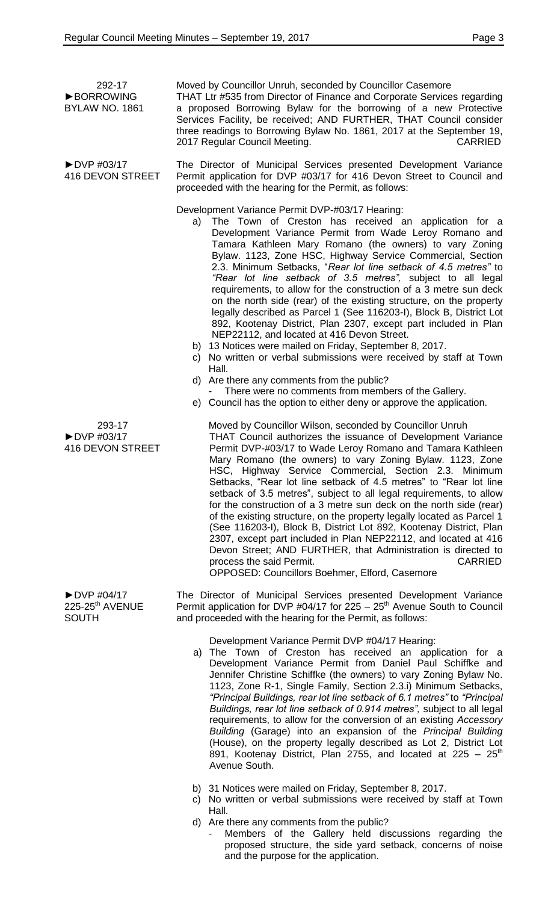►DVP #04/17 225-25<sup>th</sup> AVENUE

**SOUTH** 

| 292-17<br><b>BORROWING</b><br>BYLAW NO. 1861              | Moved by Councillor Unruh, seconded by Councillor Casemore<br>THAT Ltr #535 from Director of Finance and Corporate Services regarding<br>a proposed Borrowing Bylaw for the borrowing of a new Protective<br>Services Facility, be received; AND FURTHER, THAT Council consider<br>three readings to Borrowing Bylaw No. 1861, 2017 at the September 19,<br>2017 Regular Council Meeting.<br><b>CARRIED</b>                                                                                                                                                                                                                                                                                                                                                                                                                                                                                                                                                                                                                                                                                 |
|-----------------------------------------------------------|---------------------------------------------------------------------------------------------------------------------------------------------------------------------------------------------------------------------------------------------------------------------------------------------------------------------------------------------------------------------------------------------------------------------------------------------------------------------------------------------------------------------------------------------------------------------------------------------------------------------------------------------------------------------------------------------------------------------------------------------------------------------------------------------------------------------------------------------------------------------------------------------------------------------------------------------------------------------------------------------------------------------------------------------------------------------------------------------|
| $\triangleright$ DVP #03/17<br>416 DEVON STREET           | The Director of Municipal Services presented Development Variance<br>Permit application for DVP #03/17 for 416 Devon Street to Council and<br>proceeded with the hearing for the Permit, as follows:                                                                                                                                                                                                                                                                                                                                                                                                                                                                                                                                                                                                                                                                                                                                                                                                                                                                                        |
|                                                           | Development Variance Permit DVP-#03/17 Hearing:<br>a) The Town of Creston has received an application for a<br>Development Variance Permit from Wade Leroy Romano and<br>Tamara Kathleen Mary Romano (the owners) to vary Zoning<br>Bylaw. 1123, Zone HSC, Highway Service Commercial, Section<br>2.3. Minimum Setbacks, "Rear lot line setback of 4.5 metres" to<br>"Rear lot line setback of 3.5 metres", subject to all legal<br>requirements, to allow for the construction of a 3 metre sun deck<br>on the north side (rear) of the existing structure, on the property<br>legally described as Parcel 1 (See 116203-I), Block B, District Lot<br>892, Kootenay District, Plan 2307, except part included in Plan<br>NEP22112, and located at 416 Devon Street.<br>b) 13 Notices were mailed on Friday, September 8, 2017.<br>c) No written or verbal submissions were received by staff at Town<br>Hall.<br>d) Are there any comments from the public?<br>There were no comments from members of the Gallery.<br>e) Council has the option to either deny or approve the application. |
| 293-17<br>$\triangleright$ DVP #03/17<br>416 DEVON STREET | Moved by Councillor Wilson, seconded by Councillor Unruh<br>THAT Council authorizes the issuance of Development Variance<br>Permit DVP-#03/17 to Wade Leroy Romano and Tamara Kathleen<br>Mary Romano (the owners) to vary Zoning Bylaw. 1123, Zone<br>HSC, Highway Service Commercial, Section 2.3. Minimum<br>Setbacks, "Rear lot line setback of 4.5 metres" to "Rear lot line<br>setback of 3.5 metres", subject to all legal requirements, to allow<br>for the construction of a 3 metre sun deck on the north side (rear)<br>of the existing structure, on the property legally located as Parcel 1<br>(See 116203-I), Block B, District Lot 892, Kootenay District, Plan                                                                                                                                                                                                                                                                                                                                                                                                             |

process the said Permit. The same state of the same state of the same state of the same state of the same state of the same state of the same state of the same state of the same state of the state of the state of the state OPPOSED: Councillors Boehmer, Elford, Casemore

The Director of Municipal Services presented Development Variance Permit application for DVP #04/17 for  $225 - 25<sup>th</sup>$  Avenue South to Council and proceeded with the hearing for the Permit, as follows:

2307, except part included in Plan NEP22112, and located at 416 Devon Street; AND FURTHER, that Administration is directed to

Development Variance Permit DVP #04/17 Hearing:

- a) The Town of Creston has received an application for a Development Variance Permit from Daniel Paul Schiffke and Jennifer Christine Schiffke (the owners) to vary Zoning Bylaw No. 1123, Zone R-1, Single Family, Section 2.3.i) Minimum Setbacks, *"Principal Buildings, rear lot line setback of 6.1 metres"* to *"Principal Buildings, rear lot line setback of 0.914 metres",* subject to all legal requirements, to allow for the conversion of an existing *Accessory Building* (Garage) into an expansion of the *Principal Building* (House), on the property legally described as Lot 2, District Lot 891, Kootenay District, Plan 2755, and located at  $225 - 25^{th}$ Avenue South.
- b) 31 Notices were mailed on Friday, September 8, 2017.
- c) No written or verbal submissions were received by staff at Town Hall.
- d) Are there any comments from the public?
	- Members of the Gallery held discussions regarding the proposed structure, the side yard setback, concerns of noise and the purpose for the application.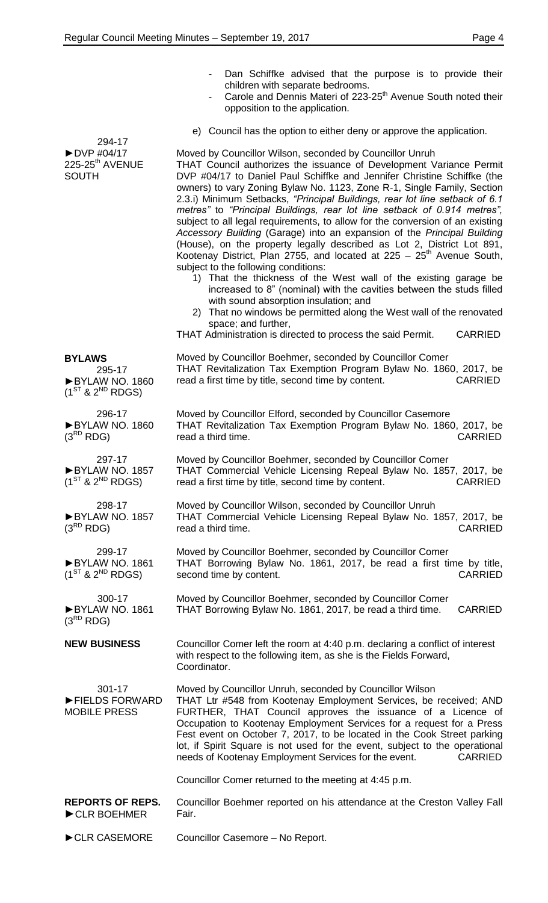- 294-17 ►DVP #04/17  $225-25^{\text{th}}$  AVENUE **SOUTH** Dan Schiffke advised that the purpose is to provide their children with separate bedrooms. Carole and Dennis Materi of 223-25<sup>th</sup> Avenue South noted their opposition to the application. e) Council has the option to either deny or approve the application. Moved by Councillor Wilson, seconded by Councillor Unruh THAT Council authorizes the issuance of Development Variance Permit DVP #04/17 to Daniel Paul Schiffke and Jennifer Christine Schiffke (the owners) to vary Zoning Bylaw No. 1123, Zone R-1, Single Family, Section 2.3.i) Minimum Setbacks, *"Principal Buildings, rear lot line setback of 6.1 metres"* to *"Principal Buildings, rear lot line setback of 0.914 metres",* subject to all legal requirements, to allow for the conversion of an existing *Accessory Building* (Garage) into an expansion of the *Principal Building* (House), on the property legally described as Lot 2, District Lot 891, Kootenay District, Plan 2755, and located at  $225 - 25<sup>th</sup>$  Avenue South, subject to the following conditions: 1) That the thickness of the West wall of the existing garage be increased to 8" (nominal) with the cavities between the studs filled with sound absorption insulation; and 2) That no windows be permitted along the West wall of the renovated space; and further, THAT Administration is directed to process the said Permit. CARRIED **BYLAWS** 295-17 ►BYLAW NO. 1860  $(1^{ST}$  &  $2^{ND}$  RDGS) Moved by Councillor Boehmer, seconded by Councillor Comer THAT Revitalization Tax Exemption Program Bylaw No. 1860, 2017, be read a first time by title, second time by content. CARRIED 296-17 ►BYLAW NO. 1860  $(3^{RD}$  RDG) Moved by Councillor Elford, seconded by Councillor Casemore THAT Revitalization Tax Exemption Program Bylaw No. 1860, 2017, be read a third time. CARRIED 297-17 ►BYLAW NO. 1857  $(1^{ST}$  &  $2^{ND}$  RDGS) Moved by Councillor Boehmer, seconded by Councillor Comer THAT Commercial Vehicle Licensing Repeal Bylaw No. 1857, 2017, be read a first time by title, second time by content. CARRIED 298-17 ►BYLAW NO. 1857  $(3^{RD}$  RDG) Moved by Councillor Wilson, seconded by Councillor Unruh THAT Commercial Vehicle Licensing Repeal Bylaw No. 1857, 2017, be read a third time. CARRIED 299-17 ►BYLAW NO. 1861  $(1^{ST}$  &  $2^{ND}$  RDGS) Moved by Councillor Boehmer, seconded by Councillor Comer THAT Borrowing Bylaw No. 1861, 2017, be read a first time by title, second time by content. The content of the content of the content of the case of the content of the content of the content of the content of the content of the content of the content of the content of the content of the co 300-17 ►BYLAW NO. 1861  $(3^{RD}$  RDG) **NEW BUSINESS** 301-17 ►FIELDS FORWARD MOBILE PRESS Moved by Councillor Boehmer, seconded by Councillor Comer THAT Borrowing Bylaw No. 1861, 2017, be read a third time. CARRIED Councillor Comer left the room at 4:40 p.m. declaring a conflict of interest with respect to the following item, as she is the Fields Forward, Coordinator. Moved by Councillor Unruh, seconded by Councillor Wilson THAT Ltr #548 from Kootenay Employment Services, be received; AND FURTHER, THAT Council approves the issuance of a Licence of Occupation to Kootenay Employment Services for a request for a Press Fest event on October 7, 2017, to be located in the Cook Street parking lot, if Spirit Square is not used for the event, subject to the operational needs of Kootenay Employment Services for the event. CARRIED Councillor Comer returned to the meeting at 4:45 p.m. **REPORTS OF REPS.** ►CLR BOEHMER Councillor Boehmer reported on his attendance at the Creston Valley Fall Fair.
- ►CLR CASEMORE Councillor Casemore No Report.